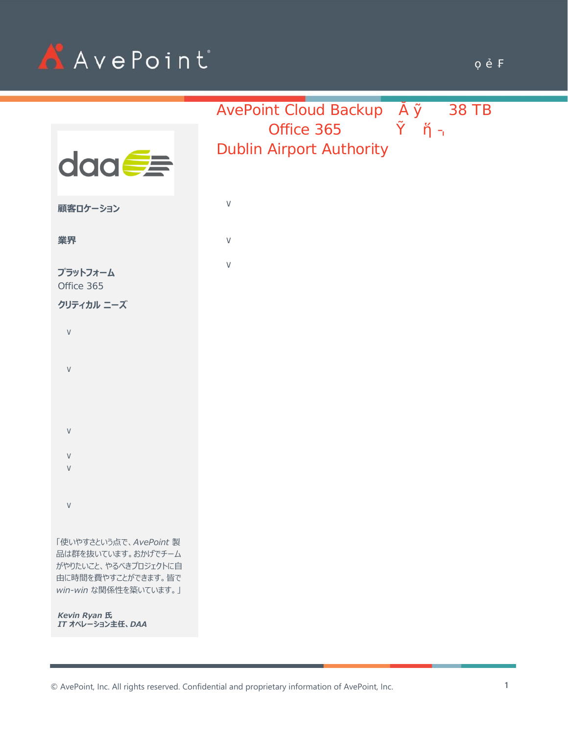

|                                                                                                                     |                                                                                                            | 5j YDc]bh'7`ci X`6UVVi d`                            |      | , 'H6'     |
|---------------------------------------------------------------------------------------------------------------------|------------------------------------------------------------------------------------------------------------|------------------------------------------------------|------|------------|
| daa <del>C</del>                                                                                                    |                                                                                                            | $TCZ$ $W^{\prime + *}$ )<br>8i V]b 5]fdcfh 5i h\cf]m |      |            |
| 顧客ロケーション                                                                                                            | % Exchange Online SharePoint Online OneDrive for<br>Business Office 365 Groups Microsoft Teams<br>38<br>TB |                                                      |      |            |
| 業界                                                                                                                  | $%$ ol $T$                                                                                                 |                                                      |      |            |
| プラットフォーム<br>$CZ/W''$ $*$ )                                                                                          | ‰SLA                                                                                                       |                                                      |      |            |
| クリティカル ニーズ                                                                                                          | DAA<br>13                                                                                                  |                                                      |      |            |
| Office 365                                                                                                          |                                                                                                            |                                                      |      |            |
| $\%$<br>ISO 27001:2013<br>GDPR<br>Article 17<br>%                                                                   |                                                                                                            | ARI                                                  |      | DAA        |
| $\%$<br>$\%$<br>Office 365                                                                                          | 4,000<br>40 %                                                                                              |                                                      | 60 % |            |
| ‰BYOS (                                                                                                             | DAA                                                                                                        | Office 365                                           |      | Office 365 |
| 「使いやすさという点で、AvePoint 製<br>品は群を抜いています。おかげでチーム<br>がやりたいこと、やるべきプロジェクトに自<br>由に時間を費やすことができます。皆で<br>win-win な関係性を築いています。」 | 90                                                                                                         | Microsoft                                            | DAA  |            |
| <b>Kevin Ryan 氏</b><br>IT オペレーション主任、DAA                                                                             | Gartner                                                                                                    | Office 365                                           |      | Office 365 |

© AvePoint, Inc. All rights reserved. Confidential and proprietary information of AvePoint, Inc.